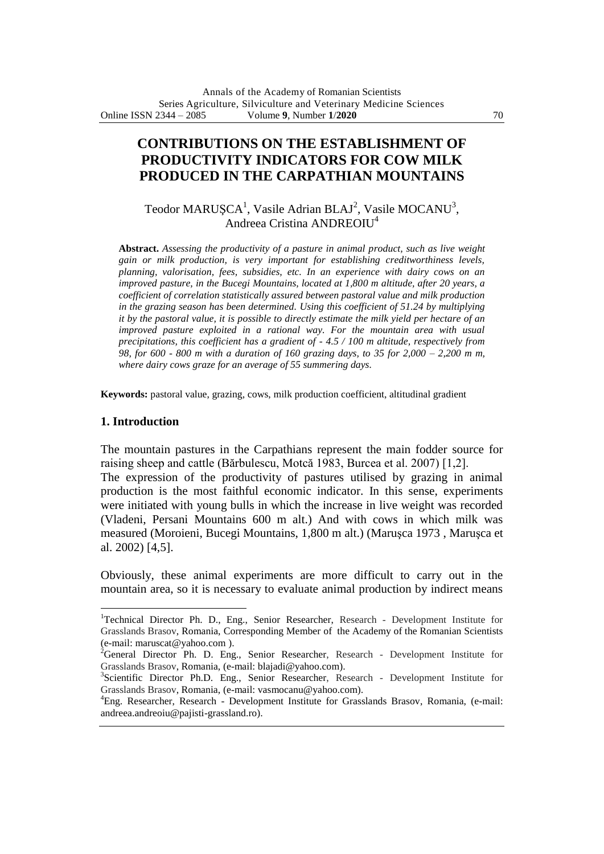# **CONTRIBUTIONS ON THE ESTABLISHMENT OF PRODUCTIVITY INDICATORS FOR COW MILK PRODUCED IN THE CARPATHIAN MOUNTAINS**

Teodor MARUȘCA<sup>1</sup>, Vasile Adrian BLAJ<sup>2</sup>, Vasile MOCANU<sup>3</sup>, Andreea Cristina ANDREOIU<sup>4</sup>

**Abstract.** *Assessing the productivity of a pasture in animal product, such as live weight gain or milk production, is very important for establishing creditworthiness levels, planning, valorisation, fees, subsidies, etc. In an experience with dairy cows on an improved pasture, in the Bucegi Mountains, located at 1,800 m altitude, after 20 years, a coefficient of correlation statistically assured between pastoral value and milk production in the grazing season has been determined. Using this coefficient of 51.24 by multiplying it by the pastoral value, it is possible to directly estimate the milk yield per hectare of an improved pasture exploited in a rational way. For the mountain area with usual precipitations, this coefficient has a gradient of - 4.5 / 100 m altitude, respectively from 98, for 600 - 800 m with a duration of 160 grazing days, to 35 for 2,000 – 2,200 m m, where dairy cows graze for an average of 55 summering days.*

**Keywords:** pastoral value, grazing, cows, milk production coefficient, altitudinal gradient

### **1. Introduction**

 $\overline{a}$ 

The mountain pastures in the Carpathians represent the main fodder source for raising sheep and cattle (Bărbulescu, Motcă 1983, Burcea et al. 2007) [1,2].

The expression of the productivity of pastures utilised by grazing in animal production is the most faithful economic indicator. In this sense, experiments were initiated with young bulls in which the increase in live weight was recorded (Vladeni, Persani Mountains 600 m alt.) And with cows in which milk was measured (Moroieni, Bucegi Mountains, 1,800 m alt.) (Maruşca 1973 , Maruşca et al. 2002) [4,5].

Obviously, these animal experiments are more difficult to carry out in the mountain area, so it is necessary to evaluate animal production by indirect means

<sup>&</sup>lt;sup>1</sup>Technical Director Ph. D., Eng., Senior Researcher, Research - Development Institute for Grasslands Brasov, Romania, Corresponding Member of the Academy of the Romanian Scientists (e-mail: maruscat@yahoo.com ).

 $2^2$ General Director Ph. D. Eng., Senior Researcher, Research - Development Institute for Grasslands Brasov, Romania, (e-mail: blajadi@yahoo.com).

<sup>&</sup>lt;sup>3</sup>Scientific Director Ph.D. Eng., Senior Researcher, Research - Development Institute for Grasslands Brasov, Romania, (e-mail: vasmocanu@yahoo.com).

<sup>4</sup>Eng. Researcher, Research - Development Institute for Grasslands Brasov, Romania, (e-mail: andreea.andreoiu@pajisti-grassland.ro).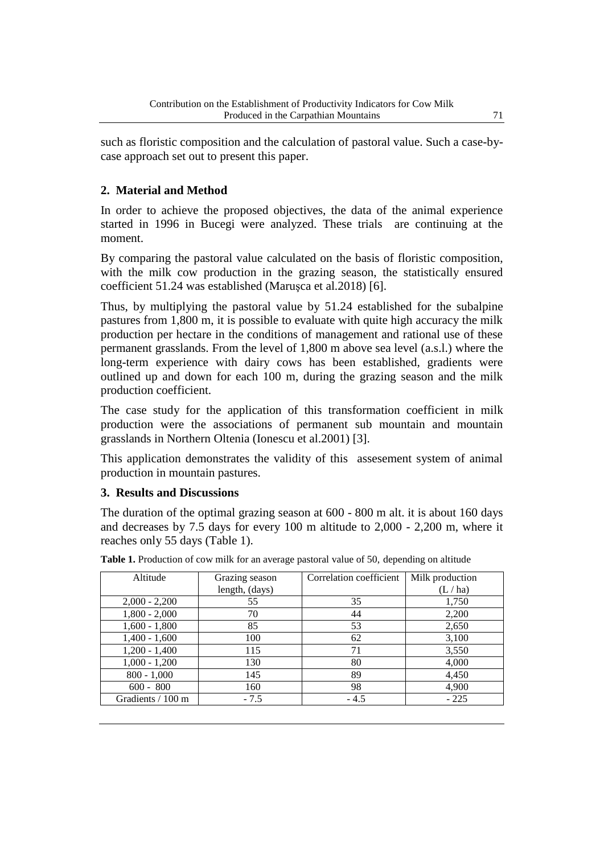such as floristic composition and the calculation of pastoral value. Such a case-bycase approach set out to present this paper.

## **2. Material and Method**

In order to achieve the proposed objectives, the data of the animal experience started in 1996 in Bucegi were analyzed. These trials are continuing at the moment.

By comparing the pastoral value calculated on the basis of floristic composition, with the milk cow production in the grazing season, the statistically ensured coefficient 51.24 was established (Maruşca et al.2018) [6].

Thus, by multiplying the pastoral value by 51.24 established for the subalpine pastures from 1,800 m, it is possible to evaluate with quite high accuracy the milk production per hectare in the conditions of management and rational use of these permanent grasslands. From the level of 1,800 m above sea level (a.s.l.) where the long-term experience with dairy cows has been established, gradients were outlined up and down for each 100 m, during the grazing season and the milk production coefficient.

The case study for the application of this transformation coefficient in milk production were the associations of permanent sub mountain and mountain grasslands in Northern Oltenia (Ionescu et al.2001) [3].

This application demonstrates the validity of this assesement system of animal production in mountain pastures.

### **3. Results and Discussions**

The duration of the optimal grazing season at 600 - 800 m alt. it is about 160 days and decreases by 7.5 days for every 100 m altitude to 2,000 - 2,200 m, where it reaches only 55 days (Table 1).

| Altitude          | Grazing season | Correlation coefficient | Milk production |
|-------------------|----------------|-------------------------|-----------------|
|                   | length, (days) |                         | (L / ha)        |
| $2,000 - 2,200$   | 55             | 35                      | 1,750           |
| $1,800 - 2,000$   | 70             | 44                      | 2,200           |
| $1,600 - 1,800$   | 85             | 53                      | 2,650           |
| $1,400 - 1,600$   | 100            | 62                      | 3,100           |
| $1,200 - 1,400$   | 115            | 71                      | 3,550           |
| $1,000 - 1,200$   | 130            | 80                      | 4,000           |
| $800 - 1,000$     | 145            | 89                      | 4,450           |
| $600 - 800$       | 160            | 98                      | 4,900           |
| Gradients / 100 m | $-7.5$         | $-4.5$                  | $-225$          |

**Table 1.** Production of cow milk for an average pastoral value of 50, depending on altitude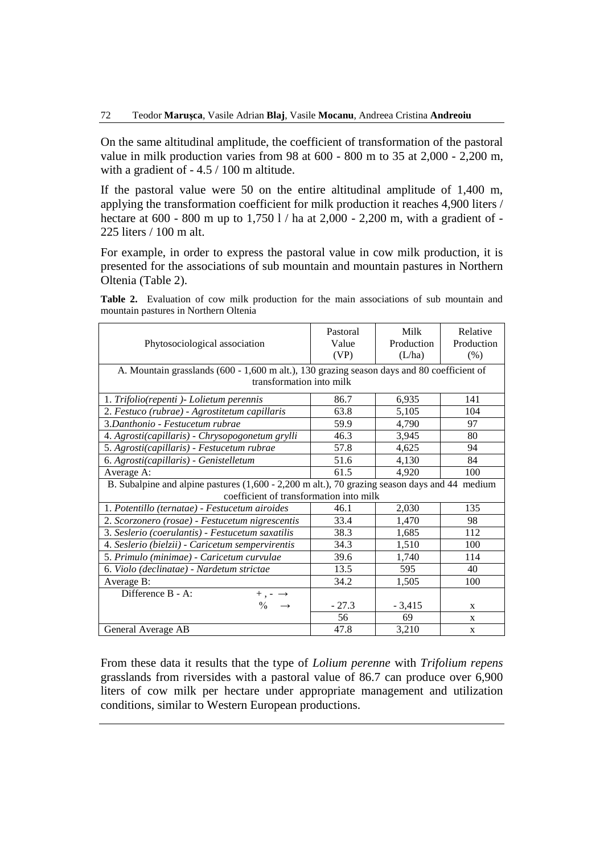On the same altitudinal amplitude, the coefficient of transformation of the pastoral value in milk production varies from 98 at 600 - 800 m to 35 at 2,000 - 2,200 m, with a gradient of - 4.5 / 100 m altitude.

If the pastoral value were 50 on the entire altitudinal amplitude of 1,400 m, applying the transformation coefficient for milk production it reaches 4,900 liters / hectare at 600 - 800 m up to 1,750 l / ha at 2,000 - 2,200 m, with a gradient of - 225 liters / 100 m alt.

For example, in order to express the pastoral value in cow milk production, it is presented for the associations of sub mountain and mountain pastures in Northern Oltenia (Table 2).

**Table 2.** Evaluation of cow milk production for the main associations of sub mountain and mountain pastures in Northern Oltenia

| Phytosociological association                                                                                          | Pastoral<br>Value<br>(VP) | Milk<br>Production<br>(L/ha) | Relative<br>Production<br>(% ) |  |  |
|------------------------------------------------------------------------------------------------------------------------|---------------------------|------------------------------|--------------------------------|--|--|
| A. Mountain grasslands (600 - 1,600 m alt.), 130 grazing season days and 80 coefficient of<br>transformation into milk |                           |                              |                                |  |  |
|                                                                                                                        |                           |                              |                                |  |  |
| 1. Trifolio(repenti) - Lolietum perennis                                                                               | 86.7                      | 6,935                        | 141                            |  |  |
| 2. Festuco (rubrae) - Agrostitetum capillaris                                                                          | 63.8                      | 5,105                        | 104                            |  |  |
| 3. Danthonio - Festucetum rubrae                                                                                       | 59.9                      | 4,790                        | 97                             |  |  |
| 4. Agrosti(capillaris) - Chrysopogonetum grylli                                                                        | 46.3                      | 3,945                        | 80                             |  |  |
| 5. Agrosti(capillaris) - Festucetum rubrae                                                                             | 57.8                      | 4,625                        | 94                             |  |  |
| 6. Agrosti(capillaris) - Genistelletum                                                                                 | 51.6                      | 4,130                        | 84                             |  |  |
| Average A:                                                                                                             | 61.5                      | 4,920                        | 100                            |  |  |
| B. Subalpine and alpine pastures (1,600 - 2,200 m alt.), 70 grazing season days and 44 medium                          |                           |                              |                                |  |  |
| coefficient of transformation into milk                                                                                |                           |                              |                                |  |  |
| 1. Potentillo (ternatae) - Festucetum airoides                                                                         | 46.1                      | 2,030                        | 135                            |  |  |
| 2. Scorzonero (rosae) - Festucetum nigrescentis                                                                        | 33.4                      | 1,470                        | 98                             |  |  |
| 3. Seslerio (coerulantis) - Festucetum saxatilis                                                                       | 38.3                      | 1,685                        | 112                            |  |  |
| 4. Seslerio (bielzii) - Caricetum sempervirentis                                                                       | 34.3                      | 1,510                        | 100                            |  |  |
| 5. Primulo (minimae) - Caricetum curvulae                                                                              | 39.6                      | 1,740                        | 114                            |  |  |
| 6. Violo (declinatae) - Nardetum strictae                                                                              | 13.5                      | 595                          | 40                             |  |  |
| Average B:                                                                                                             | 34.2                      | 1,505                        | 100                            |  |  |
| Difference B - A:<br>$+$ , $ \rightarrow$                                                                              |                           |                              |                                |  |  |
| $\frac{0}{0}$                                                                                                          | $-27.3$                   | $-3,415$                     | $\mathbf{x}$                   |  |  |
|                                                                                                                        | 56                        | 69                           | X                              |  |  |
| General Average AB                                                                                                     | 47.8                      | 3,210                        | X                              |  |  |

From these data it results that the type of *Lolium perenne* with *Trifolium repens* grasslands from riversides with a pastoral value of 86.7 can produce over 6,900 liters of cow milk per hectare under appropriate management and utilization conditions, similar to Western European productions.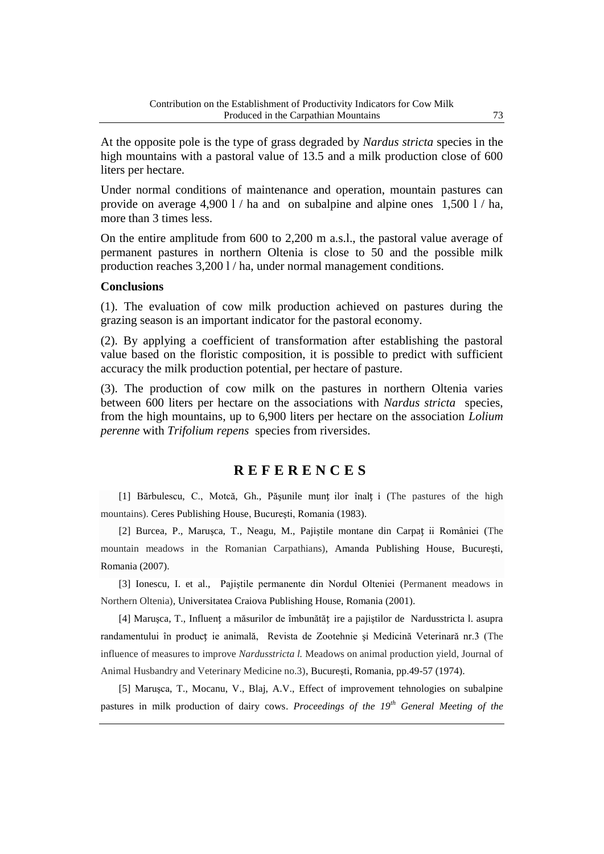At the opposite pole is the type of grass degraded by *Nardus stricta* species in the high mountains with a pastoral value of 13.5 and a milk production close of 600 liters per hectare.

Under normal conditions of maintenance and operation, mountain pastures can provide on average 4,900 l / ha and on subalpine and alpine ones 1,500 l / ha, more than 3 times less.

On the entire amplitude from 600 to 2,200 m a.s.l., the pastoral value average of permanent pastures in northern Oltenia is close to 50 and the possible milk production reaches 3,200 l / ha, under normal management conditions.

### **Conclusions**

(1). The evaluation of cow milk production achieved on pastures during the grazing season is an important indicator for the pastoral economy.

(2). By applying a coefficient of transformation after establishing the pastoral value based on the floristic composition, it is possible to predict with sufficient accuracy the milk production potential, per hectare of pasture.

(3). The production of cow milk on the pastures in northern Oltenia varies between 600 liters per hectare on the associations with *Nardus stricta* species, from the high mountains, up to 6,900 liters per hectare on the association *Lolium perenne* with *Trifolium repens* species from riversides.

### **R E F E R E N C E S**

[1] Bărbulescu, C., Motcă, Gh., Păşunile munț ilor înalț i (The pastures of the high mountains). Ceres Publishing House, Bucureşti, Romania (1983).

[2] Burcea, P., Maruşca, T., Neagu, M., Pajiştile montane din Carpaț ii României (The mountain meadows in the Romanian Carpathians), Amanda Publishing House, Bucureşti, Romania (2007).

[3] Ionescu, I. et al., Pajiştile permanente din Nordul Olteniei (Permanent meadows in Northern Oltenia)*,* Universitatea Craiova Publishing House, Romania (2001).

[4] Maruşca, T., Influenț a măsurilor de îmbunătăț ire a pajiştilor de Nardusstricta l. asupra randamentului în producț ie animală, Revista de Zootehnie şi Medicină Veterinară nr.3 (The influence of measures to improve *Nardusstricta l.* Meadows on animal production yield, Journal of Animal Husbandry and Veterinary Medicine no.3), Bucureşti, Romania, pp.49-57 (1974).

[5] Maruşca, T., Mocanu, V., Blaj, A.V., Effect of improvement tehnologies on subalpine pastures in milk production of dairy cows. *Proceedings of the 19th General Meeting of the*